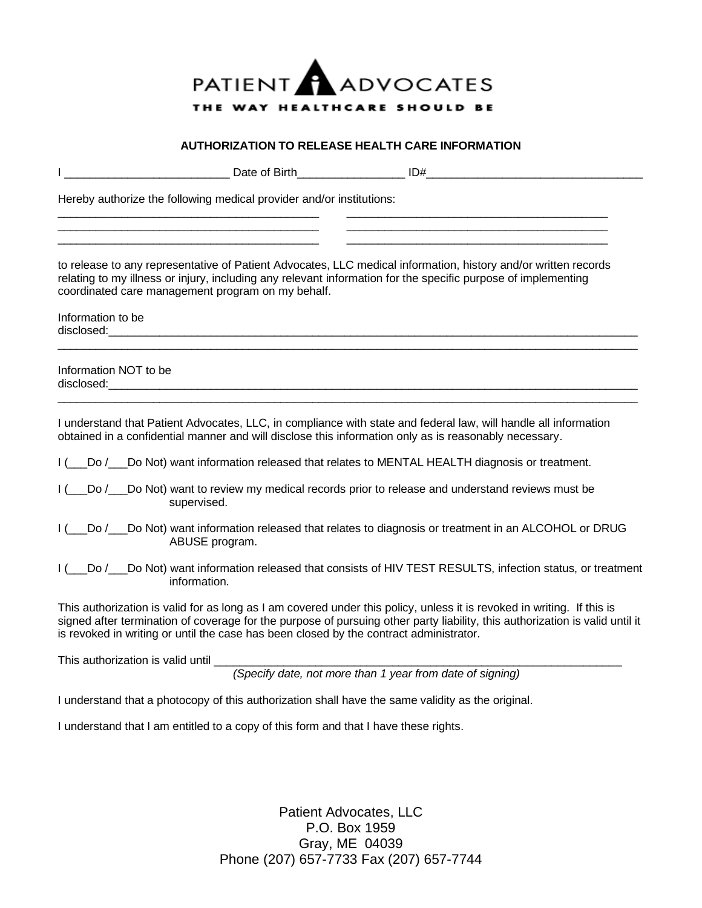

## **AUTHORIZATION TO RELEASE HEALTH CARE INFORMATION**

| Date of Birth                                                                                                                                                                                                                                       | ID#                                                                                                                                                                                                                                                    |
|-----------------------------------------------------------------------------------------------------------------------------------------------------------------------------------------------------------------------------------------------------|--------------------------------------------------------------------------------------------------------------------------------------------------------------------------------------------------------------------------------------------------------|
| Hereby authorize the following medical provider and/or institutions:                                                                                                                                                                                |                                                                                                                                                                                                                                                        |
| coordinated care management program on my behalf.                                                                                                                                                                                                   | to release to any representative of Patient Advocates, LLC medical information, history and/or written records<br>relating to my illness or injury, including any relevant information for the specific purpose of implementing                        |
| Information to be<br>disclosed: the contract of the contract of the contract of the contract of the contract of the contract of the contract of the contract of the contract of the contract of the contract of the contract of the contract of the |                                                                                                                                                                                                                                                        |
| Information NOT to be                                                                                                                                                                                                                               |                                                                                                                                                                                                                                                        |
|                                                                                                                                                                                                                                                     | I understand that Patient Advocates, LLC, in compliance with state and federal law, will handle all information<br>obtained in a confidential manner and will disclose this information only as is reasonably necessary.                               |
|                                                                                                                                                                                                                                                     | I ( Do / Do Not) want information released that relates to MENTAL HEALTH diagnosis or treatment.                                                                                                                                                       |
| supervised.                                                                                                                                                                                                                                         | I ( ___ Do / ___ Do Not) want to review my medical records prior to release and understand reviews must be                                                                                                                                             |
| ABUSE program.                                                                                                                                                                                                                                      | I ( __ Do / __ Do Not) want information released that relates to diagnosis or treatment in an ALCOHOL or DRUG                                                                                                                                          |
| information.                                                                                                                                                                                                                                        | I ( Do / Do Not) want information released that consists of HIV TEST RESULTS, infection status, or treatment                                                                                                                                           |
| is revoked in writing or until the case has been closed by the contract administrator.                                                                                                                                                              | This authorization is valid for as long as I am covered under this policy, unless it is revoked in writing. If this is<br>signed after termination of coverage for the purpose of pursuing other party liability, this authorization is valid until it |
| This authorization is valid until ____                                                                                                                                                                                                              |                                                                                                                                                                                                                                                        |
|                                                                                                                                                                                                                                                     | (Specify date, not more than 1 year from date of signing)                                                                                                                                                                                              |
|                                                                                                                                                                                                                                                     | I understand that a photocopy of this authorization shall have the same validity as the original.                                                                                                                                                      |
| I understand that I am entitled to a copy of this form and that I have these rights.                                                                                                                                                                |                                                                                                                                                                                                                                                        |

Patient Advocates, LLC P.O. Box 1959 Gray, ME 04039 Phone (207) 657-7733 Fax (207) 657-7744